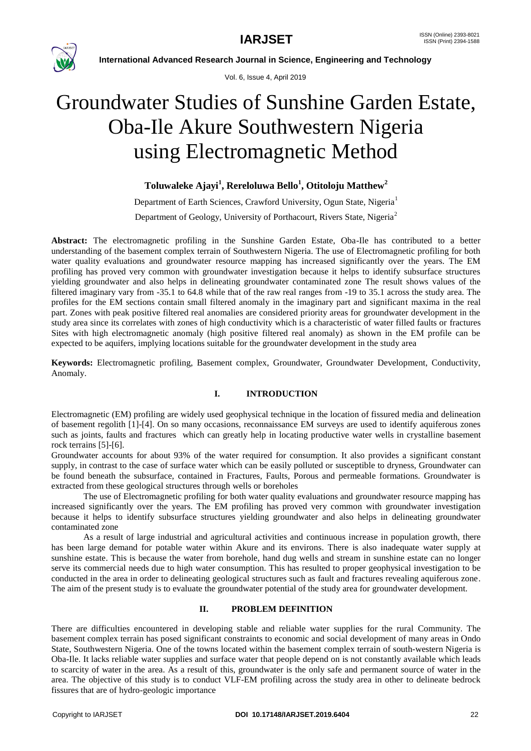

Vol. 6, Issue 4, April 2019

# Groundwater Studies of Sunshine Garden Estate, Oba-Ile Akure Southwestern Nigeria using Electromagnetic Method

# **Toluwaleke Ajayi<sup>1</sup> , Rereloluwa Bello<sup>1</sup> , Otitoloju Matthew<sup>2</sup>**

Department of Earth Sciences, Crawford University, Ogun State, Nigeria<sup>1</sup> Department of Geology, University of Porthacourt, Rivers State, Nigeria<sup>2</sup>

**Abstract:** The electromagnetic profiling in the Sunshine Garden Estate, Oba-Ile has contributed to a better understanding of the basement complex terrain of Southwestern Nigeria. The use of Electromagnetic profiling for both water quality evaluations and groundwater resource mapping has increased significantly over the years. The EM profiling has proved very common with groundwater investigation because it helps to identify subsurface structures yielding groundwater and also helps in delineating groundwater contaminated zone The result shows values of the filtered imaginary vary from -35.1 to 64.8 while that of the raw real ranges from -19 to 35.1 across the study area. The profiles for the EM sections contain small filtered anomaly in the imaginary part and significant maxima in the real part. Zones with peak positive filtered real anomalies are considered priority areas for groundwater development in the study area since its correlates with zones of high conductivity which is a characteristic of water filled faults or fractures Sites with high electromagnetic anomaly (high positive filtered real anomaly) as shown in the EM profile can be expected to be aquifers, implying locations suitable for the groundwater development in the study area

**Keywords:** Electromagnetic profiling, Basement complex, Groundwater, Groundwater Development, Conductivity, Anomaly.

# **I. INTRODUCTION**

Electromagnetic (EM) profiling are widely used geophysical technique in the location of fissured media and delineation of basement regolith [1]-[4]. On so many occasions, reconnaissance EM surveys are used to identify aquiferous zones such as joints, faults and fractures which can greatly help in locating productive water wells in crystalline basement rock terrains [5]-[6].

Groundwater accounts for about 93% of the water required for consumption. It also provides a significant constant supply, in contrast to the case of surface water which can be easily polluted or susceptible to dryness, Groundwater can be found beneath the subsurface, contained in Fractures, Faults, Porous and permeable formations. Groundwater is extracted from these geological structures through wells or boreholes

The use of Electromagnetic profiling for both water quality evaluations and groundwater resource mapping has increased significantly over the years. The EM profiling has proved very common with groundwater investigation because it helps to identify subsurface structures yielding groundwater and also helps in delineating groundwater contaminated zone

As a result of large industrial and agricultural activities and continuous increase in population growth, there has been large demand for potable water within Akure and its environs. There is also inadequate water supply at sunshine estate. This is because the water from borehole, hand dug wells and stream in sunshine estate can no longer serve its commercial needs due to high water consumption. This has resulted to proper geophysical investigation to be conducted in the area in order to delineating geological structures such as fault and fractures revealing aquiferous zone. The aim of the present study is to evaluate the groundwater potential of the study area for groundwater development.

# **II. PROBLEM DEFINITION**

There are difficulties encountered in developing stable and reliable water supplies for the rural Community. The basement complex terrain has posed significant constraints to economic and social development of many areas in Ondo State, Southwestern Nigeria. One of the towns located within the basement complex terrain of south-western Nigeria is Oba-Ile. It lacks reliable water supplies and surface water that people depend on is not constantly available which leads to scarcity of water in the area. As a result of this, groundwater is the only safe and permanent source of water in the area. The objective of this study is to conduct VLF-EM profiling across the study area in other to delineate bedrock fissures that are of hydro-geologic importance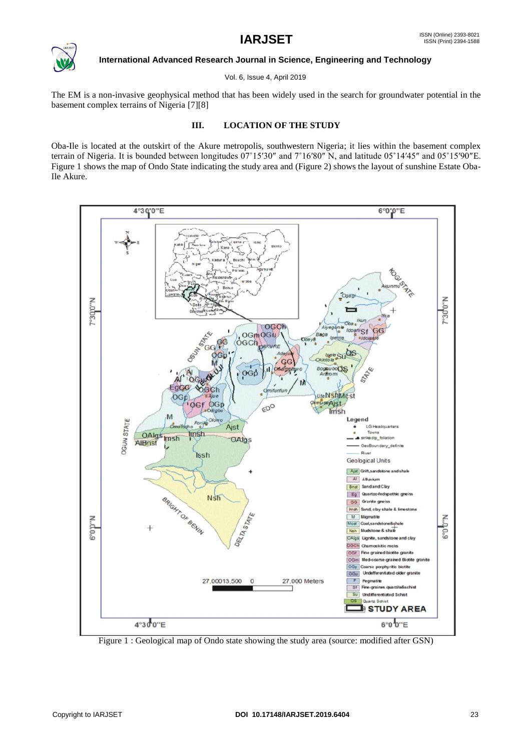

Vol. 6, Issue 4, April 2019

The EM is a non-invasive geophysical method that has been widely used in the search for groundwater potential in the basement complex terrains of Nigeria [7][8]

### **III. LOCATION OF THE STUDY**

Oba-Ile is located at the outskirt of the Akure metropolis, southwestern Nigeria; it lies within the basement complex terrain of Nigeria. It is bounded between longitudes 07˚15′30″ and 7˚16′80″ N, and latitude 05˚14′45″ and 05˚15′90″E. Figure 1 shows the map of Ondo State indicating the study area and (Figure 2) shows the layout of sunshine Estate Oba-Ile Akure.



Figure 1 : Geological map of Ondo state showing the study area (source: modified after GSN)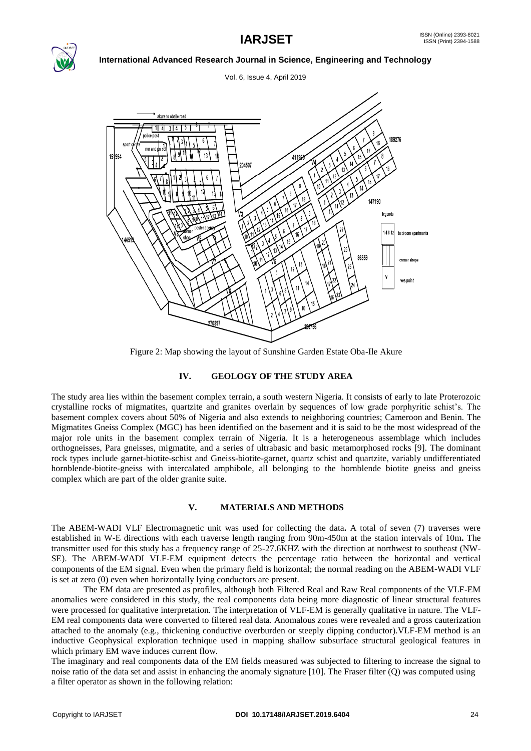

Vol. 6, Issue 4, April 2019



Figure 2: Map showing the layout of Sunshine Garden Estate Oba-Ile Akure

## **IV. GEOLOGY OF THE STUDY AREA**

The study area lies within the basement complex terrain, a south western Nigeria. It consists of early to late Proterozoic crystalline rocks of migmatites, quartzite and granites overlain by sequences of low grade porphyritic schist's. The basement complex covers about 50% of Nigeria and also extends to neighboring countries; Cameroon and Benin. The Migmatites Gneiss Complex (MGC) has been identified on the basement and it is said to be the most widespread of the major role units in the basement complex terrain of Nigeria. It is a heterogeneous assemblage which includes orthogneisses, Para gneisses, migmatite, and a series of ultrabasic and basic metamorphosed rocks [9]. The dominant rock types include garnet-biotite-schist and Gneiss-biotite-garnet, quartz schist and quartzite, variably undifferentiated hornblende-biotite-gneiss with intercalated amphibole, all belonging to the hornblende biotite gneiss and gneiss complex which are part of the older granite suite.

### **V. MATERIALS AND METHODS**

The ABEM-WADI VLF Electromagnetic unit was used for collecting the data**.** A total of seven (7) traverses were established in W-E directions with each traverse length ranging from 90m-450m at the station intervals of 10m**.** The transmitter used for this study has a frequency range of 25-27.6KHZ with the direction at northwest to southeast (NW-SE). The ABEM-WADI VLF-EM equipment detects the percentage ratio between the horizontal and vertical components of the EM signal. Even when the primary field is horizontal; the normal reading on the ABEM-WADI VLF is set at zero (0) even when horizontally lying conductors are present.

The EM data are presented as profiles, although both Filtered Real and Raw Real components of the VLF-EM anomalies were considered in this study, the real components data being more diagnostic of linear structural features were processed for qualitative interpretation. The interpretation of VLF-EM is generally qualitative in nature. The VLF-EM real components data were converted to filtered real data. Anomalous zones were revealed and a gross cauterization attached to the anomaly (e.g., thickening conductive overburden or steeply dipping conductor).VLF-EM method is an inductive Geophysical exploration technique used in mapping shallow subsurface structural geological features in which primary EM wave induces current flow.

The imaginary and real components data of the EM fields measured was subjected to filtering to increase the signal to noise ratio of the data set and assist in enhancing the anomaly signature [10]. The Fraser filter (Q) was computed using a filter operator as shown in the following relation: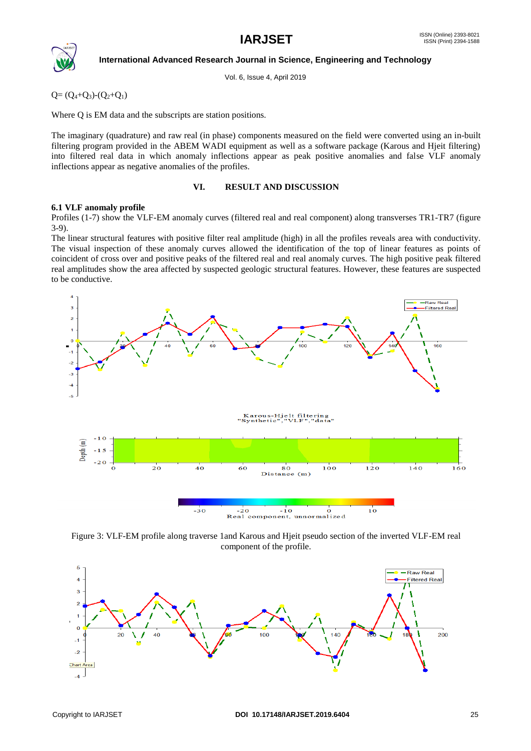

Vol. 6, Issue 4, April 2019

 $Q=(Q_4+Q_3)-(Q_2+Q_1)$ 

Where Q is EM data and the subscripts are station positions.

The imaginary (quadrature) and raw real (in phase) components measured on the field were converted using an in-built filtering program provided in the ABEM WADI equipment as well as a software package (Karous and Hjeit filtering) into filtered real data in which anomaly inflections appear as peak positive anomalies and false VLF anomaly inflections appear as negative anomalies of the profiles.

#### **VI. RESULT AND DISCUSSION**

### **6.1 VLF anomaly profile**

Profiles (1-7) show the VLF-EM anomaly curves (filtered real and real component) along transverses TR1-TR7 (figure 3-9).

The linear structural features with positive filter real amplitude (high) in all the profiles reveals area with conductivity. The visual inspection of these anomaly curves allowed the identification of the top of linear features as points of coincident of cross over and positive peaks of the filtered real and real anomaly curves. The high positive peak filtered real amplitudes show the area affected by suspected geologic structural features. However, these features are suspected to be conductive.



Figure 3: VLF-EM profile along traverse 1and Karous and Hjeit pseudo section of the inverted VLF-EM real component of the profile.

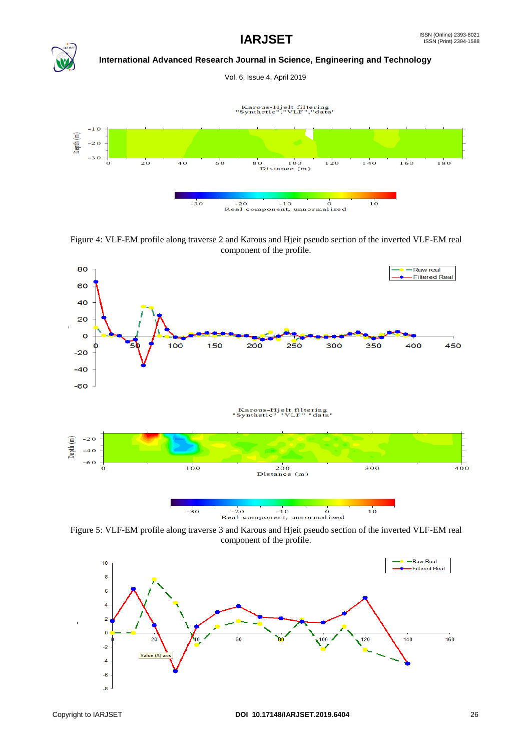

Vol. 6, Issue 4, April 2019

Karous-Hjelt filtering<br>"Synthetic","VLF","data"



Figure 4: VLF-EM profile along traverse 2 and Karous and Hjeit pseudo section of the inverted VLF-EM real component of the profile.



Figure 5: VLF-EM profile along traverse 3 and Karous and Hjeit pseudo section of the inverted VLF-EM real component of the profile.

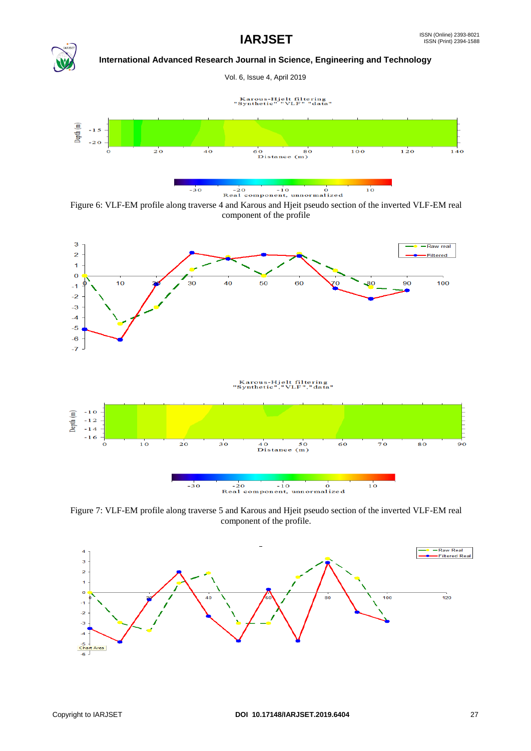Vol. 6, Issue 4, April 2019





Figure 6: VLF-EM profile along traverse 4 and Karous and Hjeit pseudo section of the inverted VLF-EM real component of the profile



Figure 7: VLF-EM profile along traverse 5 and Karous and Hjeit pseudo section of the inverted VLF-EM real component of the profile.

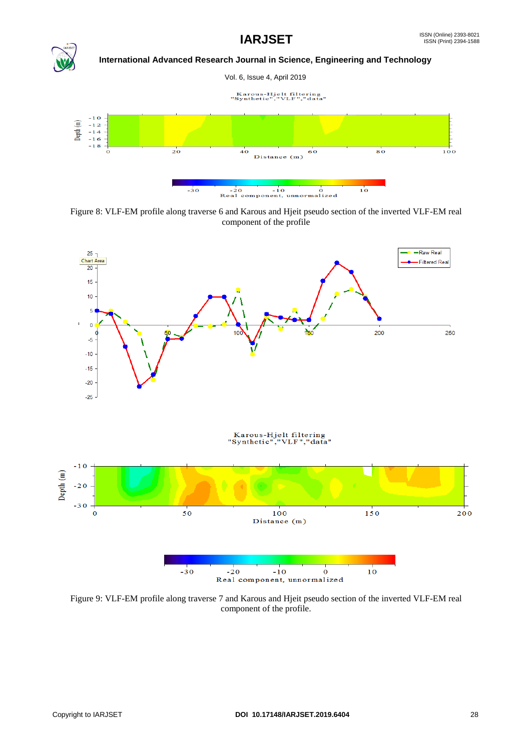

Figure 8: VLF-EM profile along traverse 6 and Karous and Hjeit pseudo section of the inverted VLF-EM real component of the profile



Figure 9: VLF-EM profile along traverse 7 and Karous and Hjeit pseudo section of the inverted VLF-EM real component of the profile.